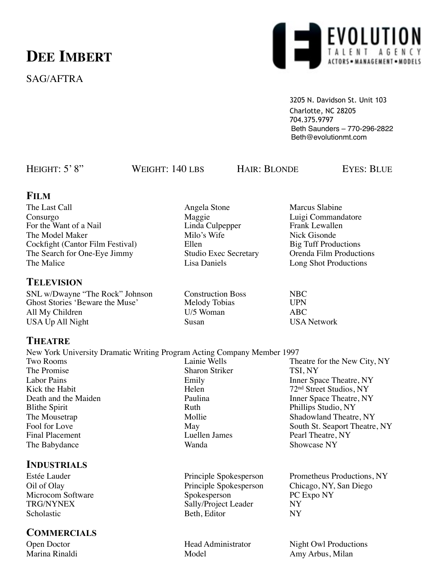# **DEE IMBERT**

# SAG/AFTRA



3205 N. Davidson St. Unit 103 Charlotte, NC 28205 704.375.9797 Beth Saunders – 770-296-2822 Beth@evolutionmt.com

HEIGHT: 5' 8" WEIGHT: 140 LBS HAIR: BLONDE EYES: BLUE

#### **FILM**

The Last Call **Angela** Stone Marcus Slabine Consurgo Maggie Luigi Commandatore<br>
For the Want of a Nail Linda Culpepper Frank Lewallen For the Want of a Nail Linda Culper Linda Culper Frank Linda Culper Frank Linda Culper Frank Linda Culper Frank Linda Culper Frank Linda Culper Frank Linda Culper Frank Linda Culper Frank Linda Culper Frank Linda Culper Fr The Model Maker Milo's Wife Nick Gisonde<br>
Cockfight (Cantor Film Festival) Ellen Big Tuff Productions Cockfight (Cantor Film Festival) The Search for One-Eye Jimmy Studio Exec Secretary Orenda Film Productions The Malice **Lisa Daniels** Lisa Daniels Long Shot Productions

#### **TELEVISION**

SNL w/Dwayne "The Rock" Johnson Construction Boss NBC<br>
Ghost Stories 'Beware the Muse' Melody Tobias UPN Ghost Stories 'Beware the Muse' All My Children **II** Community Community Community Community ABC USA Up All Night Susan Susan USA Network

### **THEATRE**

New York University Dramatic Writing Program Acting Company Member 1997 Two Rooms<br>
Theatre for the New City, NY<br>
The Promise<br>
Sharon Striker<br>
TSI, NY Sharon Striker TSI, NY Labor Pains **Emily** Emily Inner Space Theatre, NY<br>
Kick the Habit **Inner Space Instant Contains Helen** 72<sup>nd</sup> Street Studios NY 72<sup>nd</sup> Street Studios, NY Death and the Maiden<br>
Blithe Spirit<br>
Ruth
Phillips Studio, NY
Ruth
Phillips Studio, NY
Phillips Studio, NY
Phillips Studio, NY
Phillips Studio, NY
Phillips Studio, NY
Phillips Studio, NY
Phillips Studio, NY
Phillips Studio Phillips Studio, NY The Mousetrap The Mollie Shadowland Theatre, NY Fool for Love May May South St. Seaport Theatre, NY<br>Final Placement Luellen James Pearl Theatre. NY Pearl Theatre, NY The Babydance Wanda Wanda Showcase NY

### **INDUSTRIALS**

Microcom Software Spokesperson PC I<br>TRG/NYNEX Sally/Project Leader NY Scholastic Beth, Editor NY

### **COMMERCIALS**

Estée Lauder **Principle Spokesperson** Prometheus Productions, NY Oil of Olay Principle Spokesperson Chicago, NY, San Diego<br>Microcom Software Spokesperson PC Expo NY

Marina Rinaldi **Model** Model Amy Arbus, Milan

Sally/Project Leader

Open Doctor **Head Administrator** Night Owl Productions